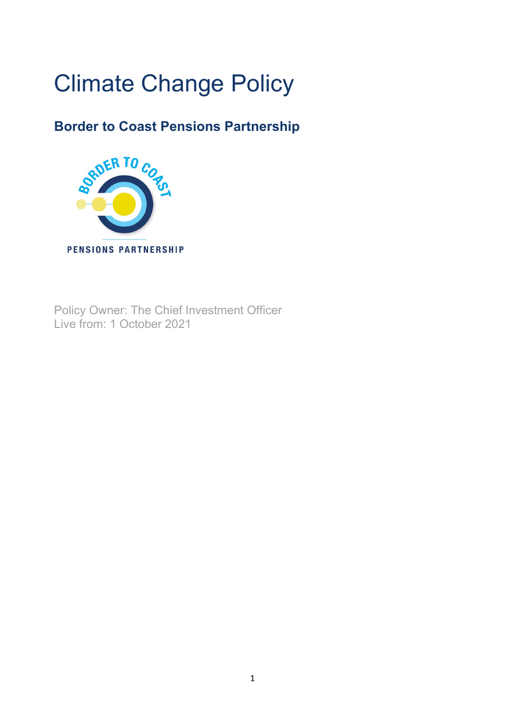# Climate Change Policy

# **Border to Coast Pensions Partnership**



Policy Owner: The Chief Investment Officer Live from: 1 October 2021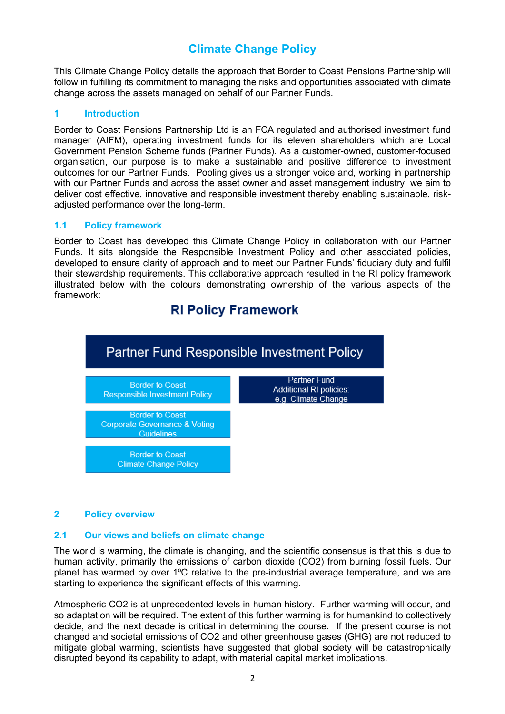# **Climate Change Policy**

This Climate Change Policy details the approach that Border to Coast Pensions Partnership will follow in fulfilling its commitment to managing the risks and opportunities associated with climate change across the assets managed on behalf of our Partner Funds.

# **1 Introduction**

Border to Coast Pensions Partnership Ltd is an FCA regulated and authorised investment fund manager (AIFM), operating investment funds for its eleven shareholders which are Local Government Pension Scheme funds (Partner Funds). As a customer-owned, customer-focused organisation, our purpose is to make a sustainable and positive difference to investment outcomes for our Partner Funds. Pooling gives us a stronger voice and, working in partnership with our Partner Funds and across the asset owner and asset management industry, we aim to deliver cost effective, innovative and responsible investment thereby enabling sustainable, riskadjusted performance over the long-term.

# **1.1 Policy framework**

Border to Coast has developed this Climate Change Policy in collaboration with our Partner Funds. It sits alongside the Responsible Investment Policy and other associated policies, developed to ensure clarity of approach and to meet our Partner Funds' fiduciary duty and fulfil their stewardship requirements. This collaborative approach resulted in the RI policy framework illustrated below with the colours demonstrating ownership of the various aspects of the framework:

# **RI Policy Framework**



# **2 Policy overview**

# **2.1 Our views and beliefs on climate change**

The world is warming, the climate is changing, and the scientific consensus is that this is due to human activity, primarily the emissions of carbon dioxide (CO2) from burning fossil fuels. Our planet has warmed by over 1<sup>o</sup>C relative to the pre-industrial average temperature, and we are starting to experience the significant effects of this warming.

Atmospheric CO2 is at unprecedented levels in human history. Further warming will occur, and so adaptation will be required. The extent of this further warming is for humankind to collectively decide, and the next decade is critical in determining the course. If the present course is not changed and societal emissions of CO2 and other greenhouse gases (GHG) are not reduced to mitigate global warming, scientists have suggested that global society will be catastrophically disrupted beyond its capability to adapt, with material capital market implications.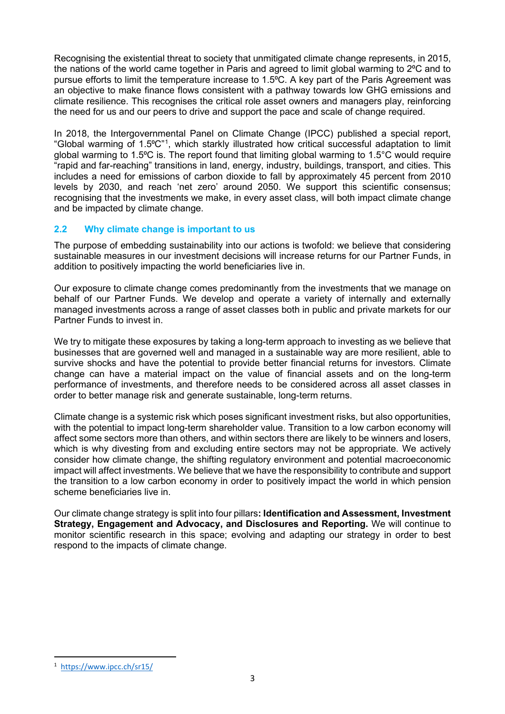Recognising the existential threat to society that unmitigated climate change represents, in 2015, the nations of the world came together in Paris and agreed to limit global warming to 2<sup>o</sup>C and to pursue efforts to limit the temperature increase to 1.5°C. A key part of the Paris Agreement was an objective to make finance flows consistent with a pathway towards low GHG emissions and climate resilience. This recognises the critical role asset owners and managers play, reinforcing the need for us and our peers to drive and support the pace and scale of change required.

In 2018, the Intergovernmental Panel on Climate Change (IPCC) published a special report, "Global warming of [1](#page-2-0).5°C"<sup>1</sup>, which starkly illustrated how critical successful adaptation to limit global warming to 1.5 $\degree$ C is. The report found that limiting global warming to 1.5 $\degree$ C would require "rapid and far-reaching" transitions in land, energy, industry, buildings, transport, and cities. This includes a need for emissions of carbon dioxide to fall by approximately 45 percent from 2010 levels by 2030, and reach 'net zero' around 2050. We support this scientific consensus; recognising that the investments we make, in every asset class, will both impact climate change and be impacted by climate change.

# **2.2 Why climate change is important to us**

The purpose of embedding sustainability into our actions is twofold: we believe that considering sustainable measures in our investment decisions will increase returns for our Partner Funds, in addition to positively impacting the world beneficiaries live in.

Our exposure to climate change comes predominantly from the investments that we manage on behalf of our Partner Funds. We develop and operate a variety of internally and externally managed investments across a range of asset classes both in public and private markets for our Partner Funds to invest in.

We try to mitigate these exposures by taking a long-term approach to investing as we believe that businesses that are governed well and managed in a sustainable way are more resilient, able to survive shocks and have the potential to provide better financial returns for investors. Climate change can have a material impact on the value of financial assets and on the long-term performance of investments, and therefore needs to be considered across all asset classes in order to better manage risk and generate sustainable, long-term returns.

Climate change is a systemic risk which poses significant investment risks, but also opportunities, with the potential to impact long-term shareholder value. Transition to a low carbon economy will affect some sectors more than others, and within sectors there are likely to be winners and losers, which is why divesting from and excluding entire sectors may not be appropriate. We actively consider how climate change, the shifting regulatory environment and potential macroeconomic impact will affect investments. We believe that we have the responsibility to contribute and support the transition to a low carbon economy in order to positively impact the world in which pension scheme beneficiaries live in.

Our climate change strategy is split into four pillars**: Identification and Assessment, Investment Strategy, Engagement and Advocacy, and Disclosures and Reporting.** We will continue to monitor scientific research in this space; evolving and adapting our strategy in order to best respond to the impacts of climate change.

<span id="page-2-0"></span><sup>1</sup> <https://www.ipcc.ch/sr15/>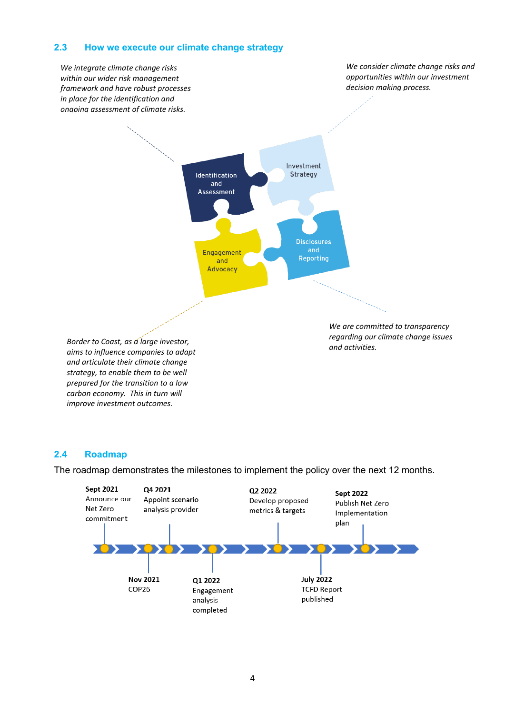# **2.3 How we execute our climate change strategy**



#### **2.4 Roadmap**

The roadmap demonstrates the milestones to implement the policy over the next 12 months.

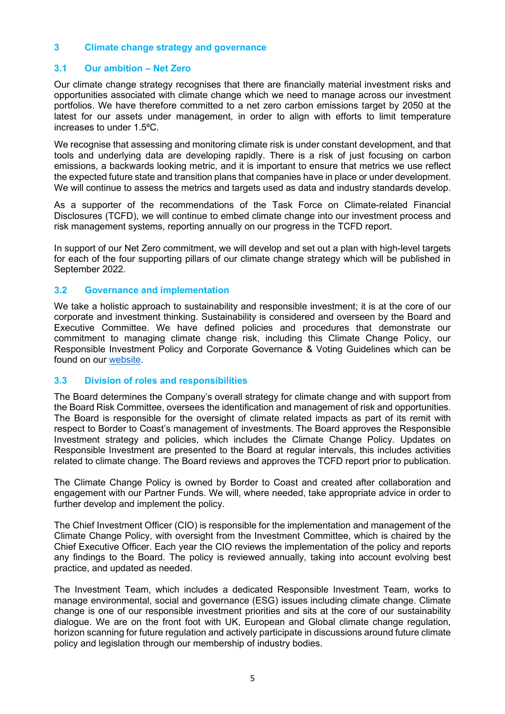# **3 Climate change strategy and governance**

# **3.1 Our ambition – Net Zero**

Our climate change strategy recognises that there are financially material investment risks and opportunities associated with climate change which we need to manage across our investment portfolios. We have therefore committed to a net zero carbon emissions target by 2050 at the latest for our assets under management, in order to align with efforts to limit temperature increases to under 1.5⁰C.

We recognise that assessing and monitoring climate risk is under constant development, and that tools and underlying data are developing rapidly. There is a risk of just focusing on carbon emissions, a backwards looking metric, and it is important to ensure that metrics we use reflect the expected future state and transition plans that companies have in place or under development. We will continue to assess the metrics and targets used as data and industry standards develop.

As a supporter of the recommendations of the Task Force on Climate-related Financial Disclosures (TCFD), we will continue to embed climate change into our investment process and risk management systems, reporting annually on our progress in the TCFD report.

In support of our Net Zero commitment, we will develop and set out a plan with high-level targets for each of the four supporting pillars of our climate change strategy which will be published in September 2022.

#### **3.2 Governance and implementation**

We take a holistic approach to sustainability and responsible investment; it is at the core of our corporate and investment thinking. Sustainability is considered and overseen by the Board and Executive Committee. We have defined policies and procedures that demonstrate our commitment to managing climate change risk, including this Climate Change Policy, our Responsible Investment Policy and Corporate Governance & Voting Guidelines which can be found on our [website.](https://www.bordertocoast.org.uk/sustainability/)

#### **3.3 Division of roles and responsibilities**

The Board determines the Company's overall strategy for climate change and with support from the Board Risk Committee, oversees the identification and management of risk and opportunities. The Board is responsible for the oversight of climate related impacts as part of its remit with respect to Border to Coast's management of investments. The Board approves the Responsible Investment strategy and policies, which includes the Climate Change Policy. Updates on Responsible Investment are presented to the Board at regular intervals, this includes activities related to climate change. The Board reviews and approves the TCFD report prior to publication.

The Climate Change Policy is owned by Border to Coast and created after collaboration and engagement with our Partner Funds. We will, where needed, take appropriate advice in order to further develop and implement the policy.

The Chief Investment Officer (CIO) is responsible for the implementation and management of the Climate Change Policy, with oversight from the Investment Committee, which is chaired by the Chief Executive Officer. Each year the CIO reviews the implementation of the policy and reports any findings to the Board. The policy is reviewed annually, taking into account evolving best practice, and updated as needed.

The Investment Team, which includes a dedicated Responsible Investment Team, works to manage environmental, social and governance (ESG) issues including climate change. Climate change is one of our responsible investment priorities and sits at the core of our sustainability dialogue. We are on the front foot with UK, European and Global climate change regulation, horizon scanning for future regulation and actively participate in discussions around future climate policy and legislation through our membership of industry bodies.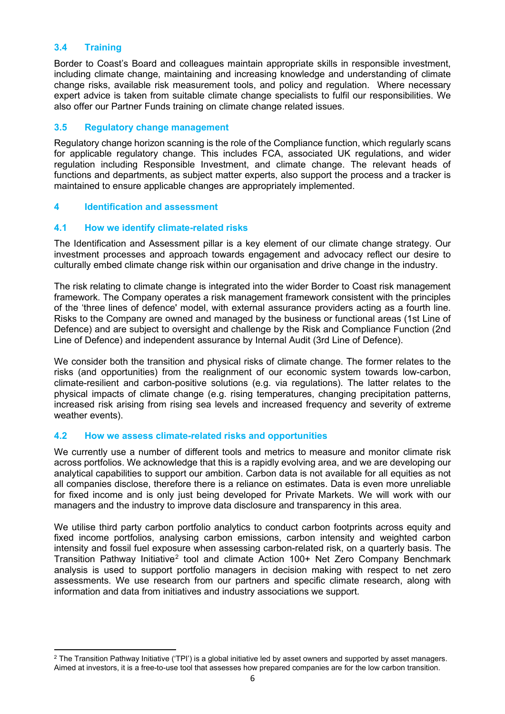# **3.4 Training**

Border to Coast's Board and colleagues maintain appropriate skills in responsible investment, including climate change, maintaining and increasing knowledge and understanding of climate change risks, available risk measurement tools, and policy and regulation. Where necessary expert advice is taken from suitable climate change specialists to fulfil our responsibilities. We also offer our Partner Funds training on climate change related issues.

# **3.5 Regulatory change management**

Regulatory change horizon scanning is the role of the Compliance function, which regularly scans for applicable regulatory change. This includes FCA, associated UK regulations, and wider regulation including Responsible Investment, and climate change. The relevant heads of functions and departments, as subject matter experts, also support the process and a tracker is maintained to ensure applicable changes are appropriately implemented.

# **4 Identification and assessment**

# **4.1 How we identify climate-related risks**

The Identification and Assessment pillar is a key element of our climate change strategy. Our investment processes and approach towards engagement and advocacy reflect our desire to culturally embed climate change risk within our organisation and drive change in the industry.

The risk relating to climate change is integrated into the wider Border to Coast risk management framework. The Company operates a risk management framework consistent with the principles of the 'three lines of defence' model, with external assurance providers acting as a fourth line. Risks to the Company are owned and managed by the business or functional areas (1st Line of Defence) and are subject to oversight and challenge by the Risk and Compliance Function (2nd Line of Defence) and independent assurance by Internal Audit (3rd Line of Defence).

We consider both the transition and physical risks of climate change. The former relates to the risks (and opportunities) from the realignment of our economic system towards low-carbon, climate-resilient and carbon-positive solutions (e.g. via regulations). The latter relates to the physical impacts of climate change (e.g. rising temperatures, changing precipitation patterns, increased risk arising from rising sea levels and increased frequency and severity of extreme weather events).

# **4.2 How we assess climate-related risks and opportunities**

We currently use a number of different tools and metrics to measure and monitor climate risk across portfolios. We acknowledge that this is a rapidly evolving area, and we are developing our analytical capabilities to support our ambition. Carbon data is not available for all equities as not all companies disclose, therefore there is a reliance on estimates. Data is even more unreliable for fixed income and is only just being developed for Private Markets. We will work with our managers and the industry to improve data disclosure and transparency in this area.

We utilise third party carbon portfolio analytics to conduct carbon footprints across equity and fixed income portfolios, analysing carbon emissions, carbon intensity and weighted carbon intensity and fossil fuel exposure when assessing carbon-related risk, on a quarterly basis. The Transition Pathway Initiative<sup>[2](#page-5-0)</sup> tool and climate Action 100+ Net Zero Company Benchmark analysis is used to support portfolio managers in decision making with respect to net zero assessments. We use research from our partners and specific climate research, along with information and data from initiatives and industry associations we support.

<span id="page-5-0"></span> $2$  The Transition Pathway Initiative ('TPI') is a global initiative led by asset owners and supported by asset managers. Aimed at investors, it is a free-to-use tool that assesses how prepared companies are for the low carbon transition.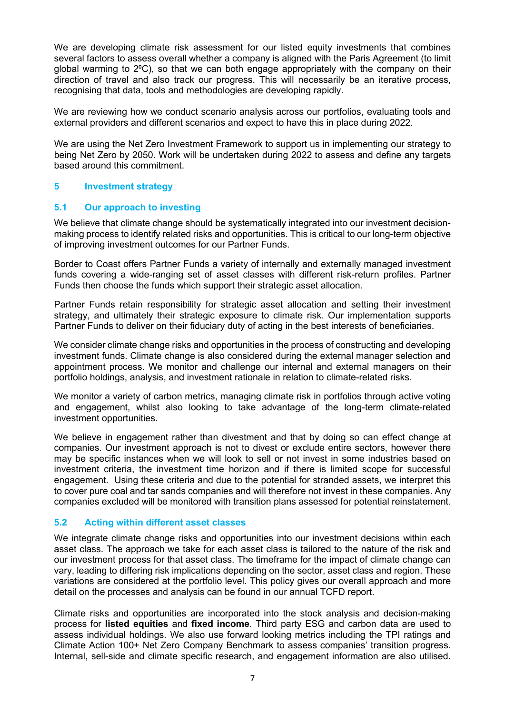We are developing climate risk assessment for our listed equity investments that combines several factors to assess overall whether a company is aligned with the Paris Agreement (to limit global warming to 2⁰C), so that we can both engage appropriately with the company on their direction of travel and also track our progress. This will necessarily be an iterative process, recognising that data, tools and methodologies are developing rapidly.

We are reviewing how we conduct scenario analysis across our portfolios, evaluating tools and external providers and different scenarios and expect to have this in place during 2022.

We are using the Net Zero Investment Framework to support us in implementing our strategy to being Net Zero by 2050. Work will be undertaken during 2022 to assess and define any targets based around this commitment.

# **5 Investment strategy**

# **5.1 Our approach to investing**

We believe that climate change should be systematically integrated into our investment decisionmaking process to identify related risks and opportunities. This is critical to our long-term objective of improving investment outcomes for our Partner Funds.

Border to Coast offers Partner Funds a variety of internally and externally managed investment funds covering a wide-ranging set of asset classes with different risk-return profiles. Partner Funds then choose the funds which support their strategic asset allocation.

Partner Funds retain responsibility for strategic asset allocation and setting their investment strategy, and ultimately their strategic exposure to climate risk. Our implementation supports Partner Funds to deliver on their fiduciary duty of acting in the best interests of beneficiaries.

We consider climate change risks and opportunities in the process of constructing and developing investment funds. Climate change is also considered during the external manager selection and appointment process. We monitor and challenge our internal and external managers on their portfolio holdings, analysis, and investment rationale in relation to climate-related risks.

We monitor a variety of carbon metrics, managing climate risk in portfolios through active voting and engagement, whilst also looking to take advantage of the long-term climate-related investment opportunities.

We believe in engagement rather than divestment and that by doing so can effect change at companies. Our investment approach is not to divest or exclude entire sectors, however there may be specific instances when we will look to sell or not invest in some industries based on investment criteria, the investment time horizon and if there is limited scope for successful engagement. Using these criteria and due to the potential for stranded assets, we interpret this to cover pure coal and tar sands companies and will therefore not invest in these companies. Any companies excluded will be monitored with transition plans assessed for potential reinstatement.

# **5.2 Acting within different asset classes**

We integrate climate change risks and opportunities into our investment decisions within each asset class. The approach we take for each asset class is tailored to the nature of the risk and our investment process for that asset class. The timeframe for the impact of climate change can vary, leading to differing risk implications depending on the sector, asset class and region. These variations are considered at the portfolio level. This policy gives our overall approach and more detail on the processes and analysis can be found in our annual TCFD report.

Climate risks and opportunities are incorporated into the stock analysis and decision-making process for **listed equities** and **fixed income**. Third party ESG and carbon data are used to assess individual holdings. We also use forward looking metrics including the TPI ratings and Climate Action 100+ Net Zero Company Benchmark to assess companies' transition progress. Internal, sell-side and climate specific research, and engagement information are also utilised.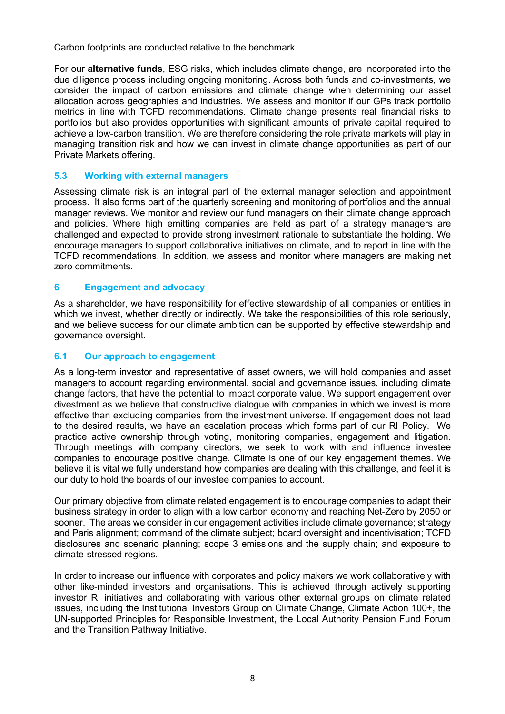Carbon footprints are conducted relative to the benchmark.

For our **alternative funds**, ESG risks, which includes climate change, are incorporated into the due diligence process including ongoing monitoring. Across both funds and co-investments, we consider the impact of carbon emissions and climate change when determining our asset allocation across geographies and industries. We assess and monitor if our GPs track portfolio metrics in line with TCFD recommendations. Climate change presents real financial risks to portfolios but also provides opportunities with significant amounts of private capital required to achieve a low-carbon transition. We are therefore considering the role private markets will play in managing transition risk and how we can invest in climate change opportunities as part of our Private Markets offering.

# **5.3 Working with external managers**

Assessing climate risk is an integral part of the external manager selection and appointment process. It also forms part of the quarterly screening and monitoring of portfolios and the annual manager reviews. We monitor and review our fund managers on their climate change approach and policies. Where high emitting companies are held as part of a strategy managers are challenged and expected to provide strong investment rationale to substantiate the holding. We encourage managers to support collaborative initiatives on climate, and to report in line with the TCFD recommendations. In addition, we assess and monitor where managers are making net zero commitments.

# **6 Engagement and advocacy**

As a shareholder, we have responsibility for effective stewardship of all companies or entities in which we invest, whether directly or indirectly. We take the responsibilities of this role seriously, and we believe success for our climate ambition can be supported by effective stewardship and governance oversight.

# **6.1 Our approach to engagement**

As a long-term investor and representative of asset owners, we will hold companies and asset managers to account regarding environmental, social and governance issues, including climate change factors, that have the potential to impact corporate value. We support engagement over divestment as we believe that constructive dialogue with companies in which we invest is more effective than excluding companies from the investment universe. If engagement does not lead to the desired results, we have an escalation process which forms part of our RI Policy. We practice active ownership through voting, monitoring companies, engagement and litigation. Through meetings with company directors, we seek to work with and influence investee companies to encourage positive change. Climate is one of our key engagement themes. We believe it is vital we fully understand how companies are dealing with this challenge, and feel it is our duty to hold the boards of our investee companies to account.

Our primary objective from climate related engagement is to encourage companies to adapt their business strategy in order to align with a low carbon economy and reaching Net-Zero by 2050 or sooner. The areas we consider in our engagement activities include climate governance; strategy and Paris alignment; command of the climate subject; board oversight and incentivisation; TCFD disclosures and scenario planning; scope 3 emissions and the supply chain; and exposure to climate-stressed regions.

In order to increase our influence with corporates and policy makers we work collaboratively with other like-minded investors and organisations. This is achieved through actively supporting investor RI initiatives and collaborating with various other external groups on climate related issues, including the Institutional Investors Group on Climate Change, Climate Action 100+, the UN-supported Principles for Responsible Investment, the Local Authority Pension Fund Forum and the Transition Pathway Initiative.